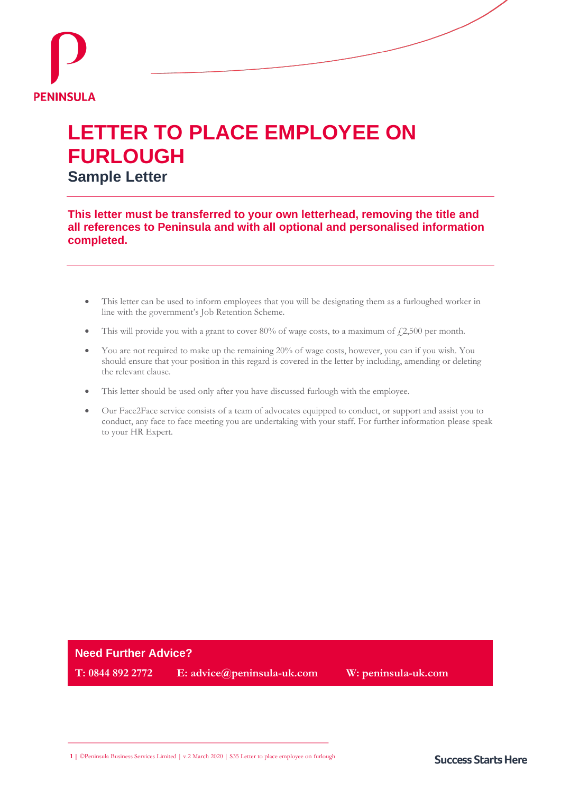

# **LETTER TO PLACE EMPLOYEE ON FURLOUGH**

**Sample Letter**

**This letter must be transferred to your own letterhead, removing the title and all references to Peninsula and with all optional and personalised information completed.**

- This letter can be used to inform employees that you will be designating them as a furloughed worker in line with the government's Job Retention Scheme.
- This will provide you with a grant to cover 80% of wage costs, to a maximum of  $f2,500$  per month.
- You are not required to make up the remaining 20% of wage costs, however, you can if you wish. You should ensure that your position in this regard is covered in the letter by including, amending or deleting the relevant clause.
- This letter should be used only after you have discussed furlough with the employee.
- Our Face2Face service consists of a team of advocates equipped to conduct, or support and assist you to conduct, any face to face meeting you are undertaking with your staff. For further information please speak to your HR Expert.

# **Need Further Advice?**

**T: 0844 892 2772 E: advice@peninsula-uk.com W: peninsula-uk.com**